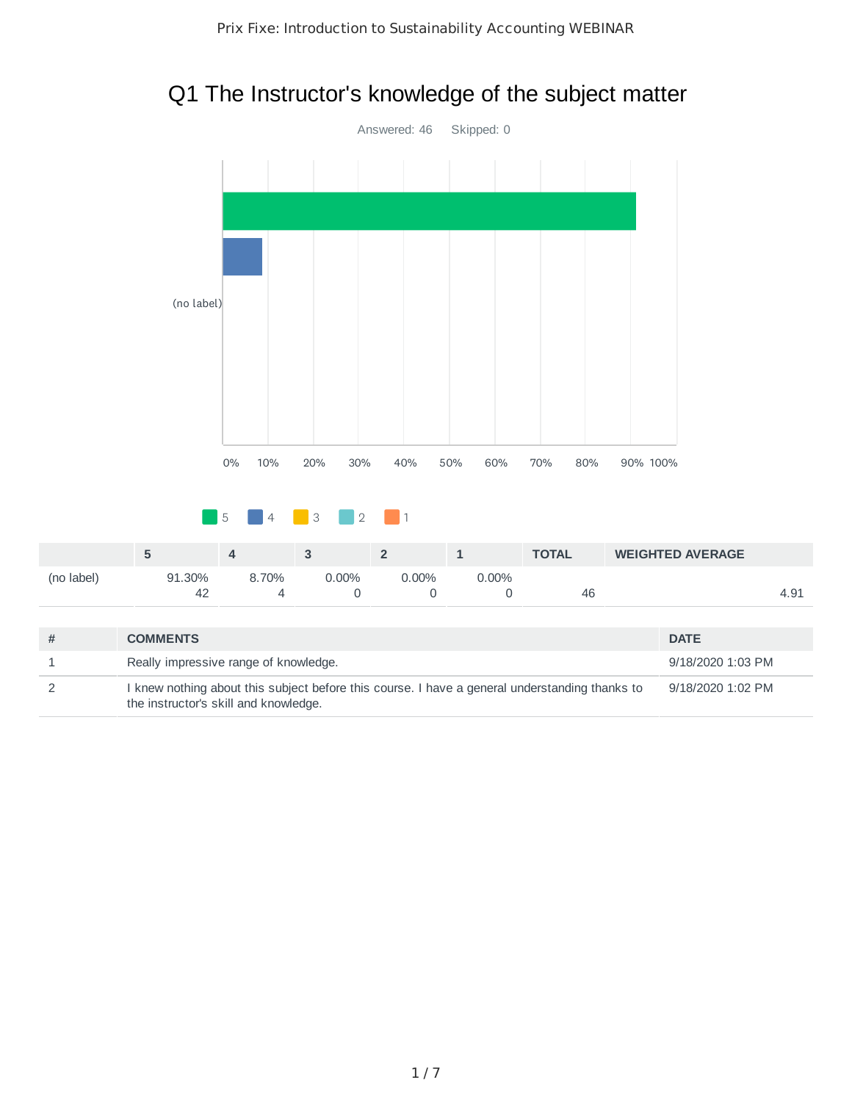## Q1 The Instructor's knowledge of the subject matter



2 I knew nothing about this subject before this course. I have a general understanding thanks to the instructor's skill and knowledge. 9/18/2020 1:02 PM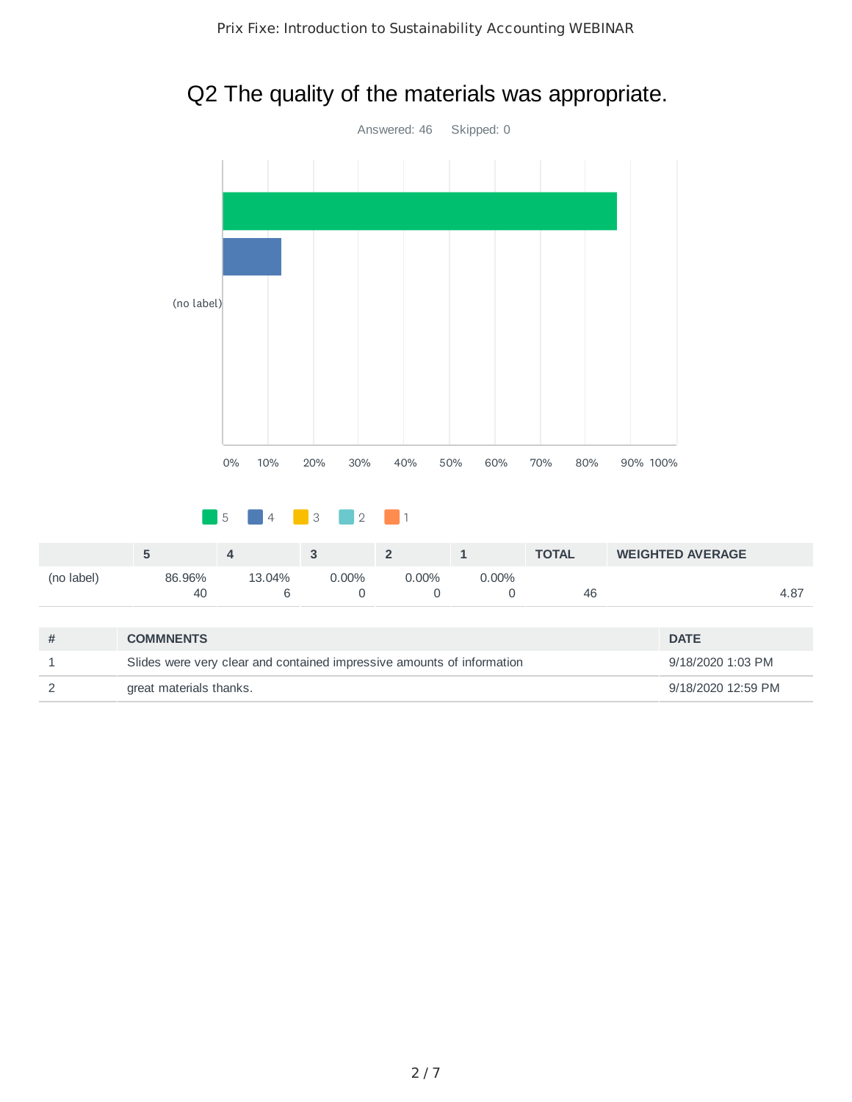## Q2 The quality of the materials was appropriate.



|            |        | Д      |          |      |       | <b>TOTAL</b> | <b>WEIGHTED AVERAGE</b> |      |
|------------|--------|--------|----------|------|-------|--------------|-------------------------|------|
| (no label) | 86.96% | 13.04% | $0.00\%$ | .00% | 0.00% |              |                         |      |
|            | 40     |        |          |      |       | 46           |                         | 4.87 |

| <b>COMMNENTS</b>                                                       | <b>DATE</b>        |
|------------------------------------------------------------------------|--------------------|
| Slides were very clear and contained impressive amounts of information | 9/18/2020 1:03 PM  |
| great materials thanks.                                                | 9/18/2020 12:59 PM |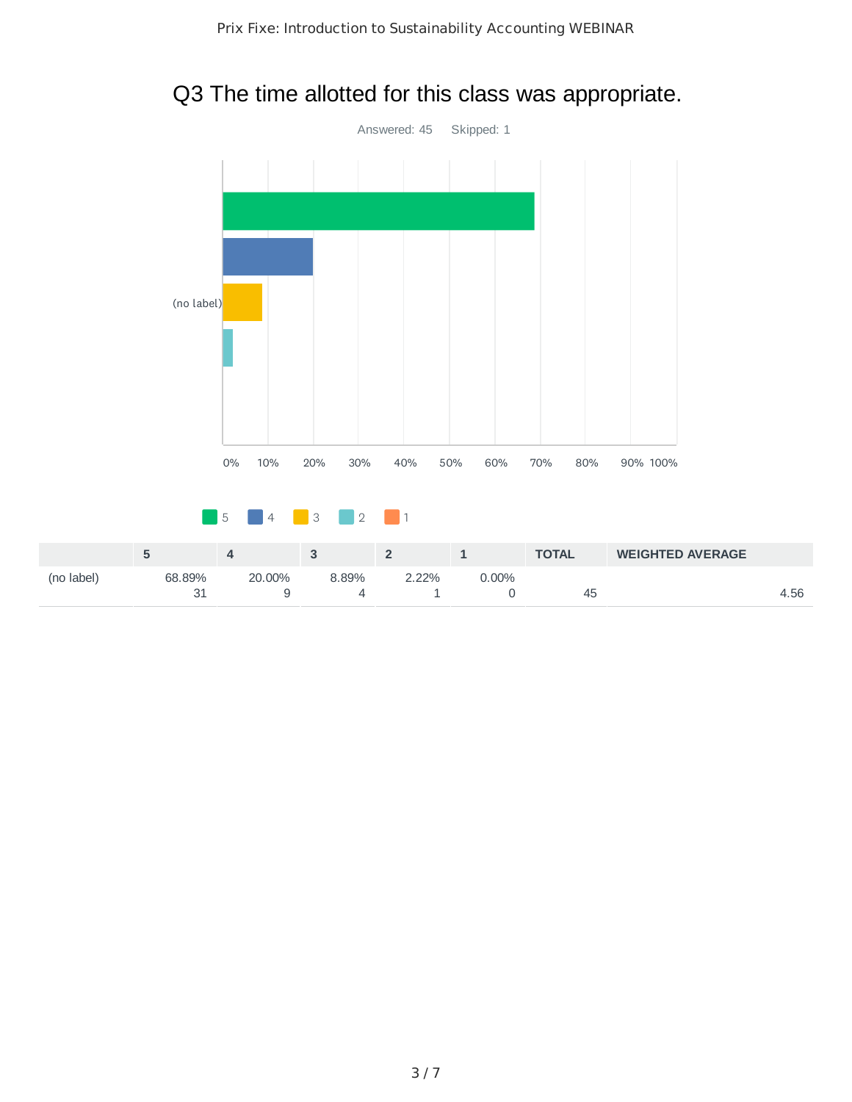#### Q3 The time allotted for this class was appropriate.

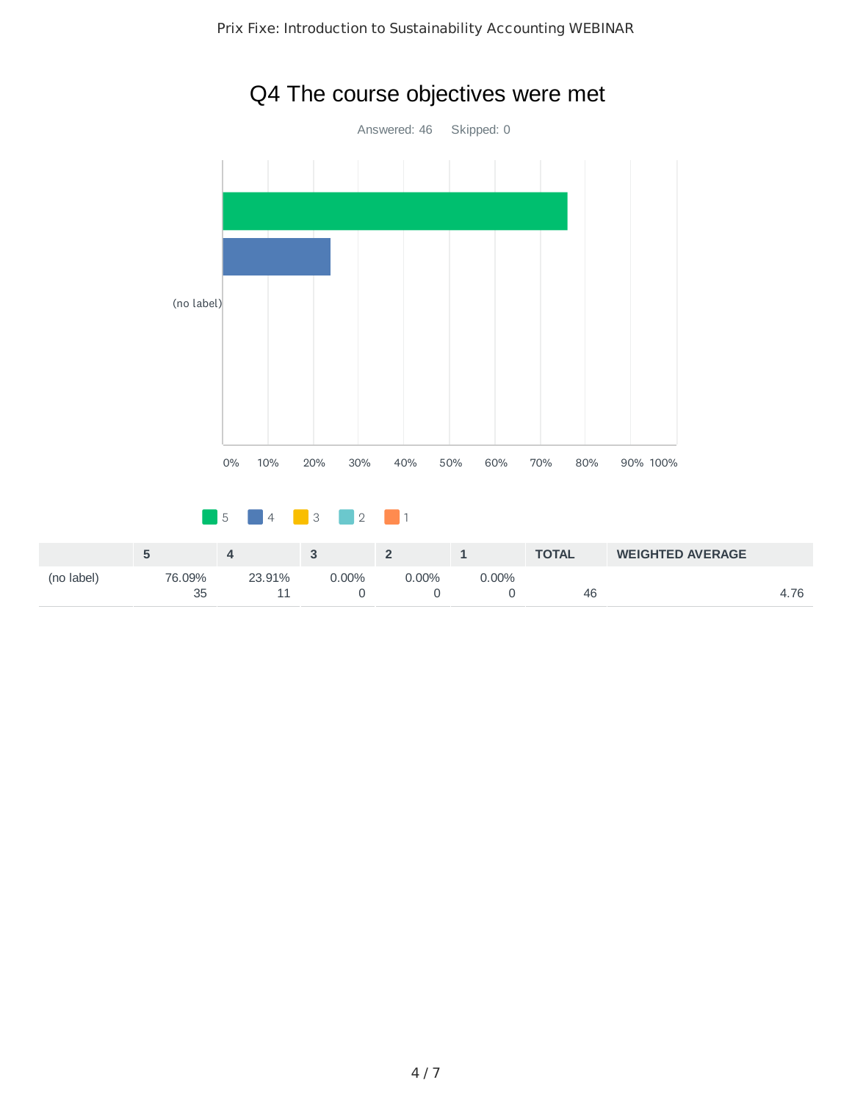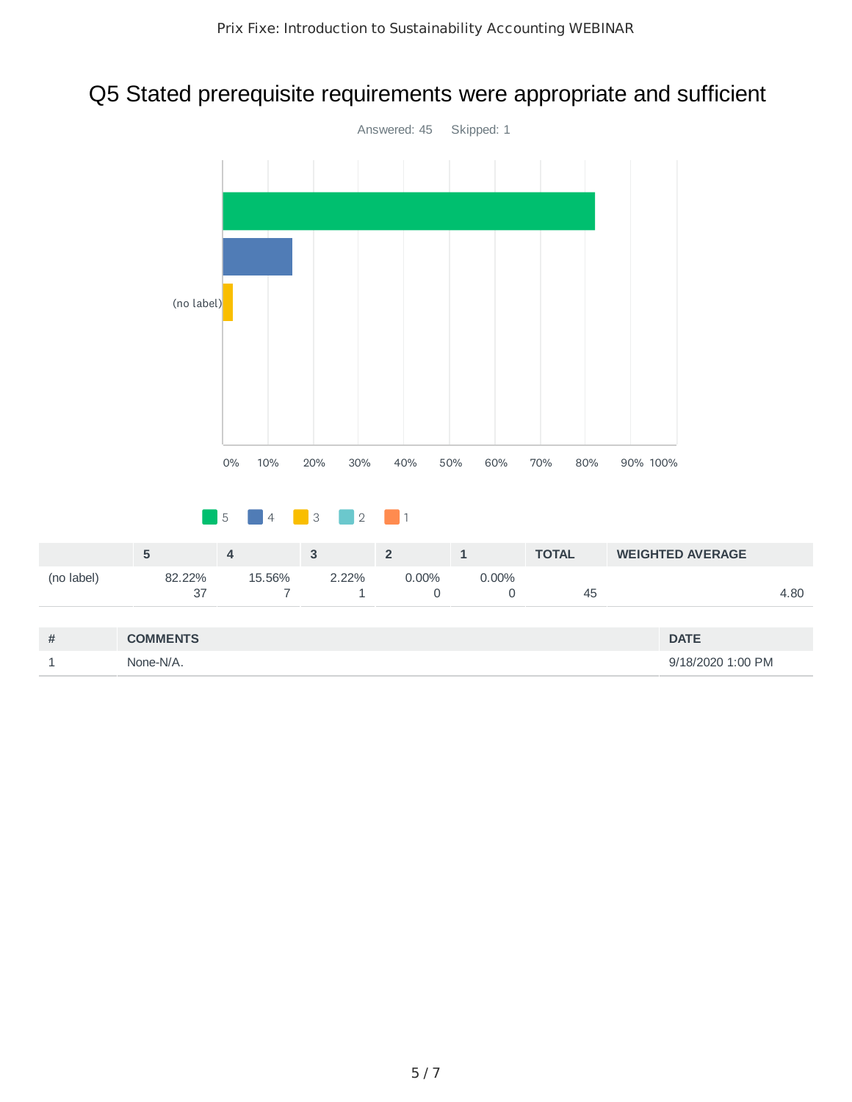## Q5 Stated prerequisite requirements were appropriate and sufficient

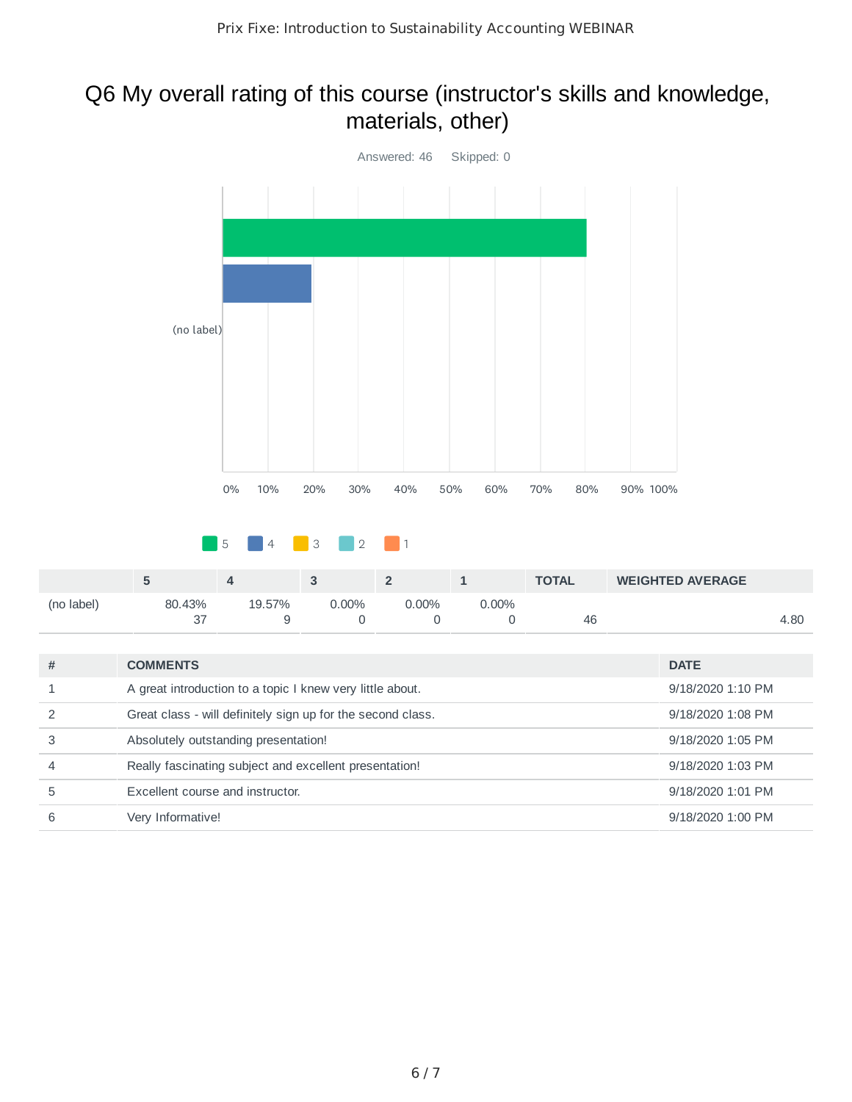#### Q6 My overall rating of this course (instructor's skills and knowledge, materials, other)



|  |  |  | <b>8</b> 5 4 3 2 1 |  |  |  |
|--|--|--|--------------------|--|--|--|
|  |  |  |                    |  |  |  |

|            |        |        |       |         |       | <b>TOTAL</b> | <b>WEIGHTED AVERAGE</b> |      |
|------------|--------|--------|-------|---------|-------|--------------|-------------------------|------|
| (no label) | 80.43% | 19.57% | 0.00% | $.00\%$ | 0.00% |              |                         |      |
|            |        |        |       |         |       | 46           |                         | 4.80 |

| # | <b>COMMENTS</b>                                             | <b>DATE</b>       |
|---|-------------------------------------------------------------|-------------------|
|   | A great introduction to a topic I knew very little about.   | 9/18/2020 1:10 PM |
|   | Great class - will definitely sign up for the second class. | 9/18/2020 1:08 PM |
|   | Absolutely outstanding presentation!                        | 9/18/2020 1:05 PM |
| 4 | Really fascinating subject and excellent presentation!      | 9/18/2020 1:03 PM |
| 5 | Excellent course and instructor.                            | 9/18/2020 1:01 PM |
| 6 | Very Informative!                                           | 9/18/2020 1:00 PM |